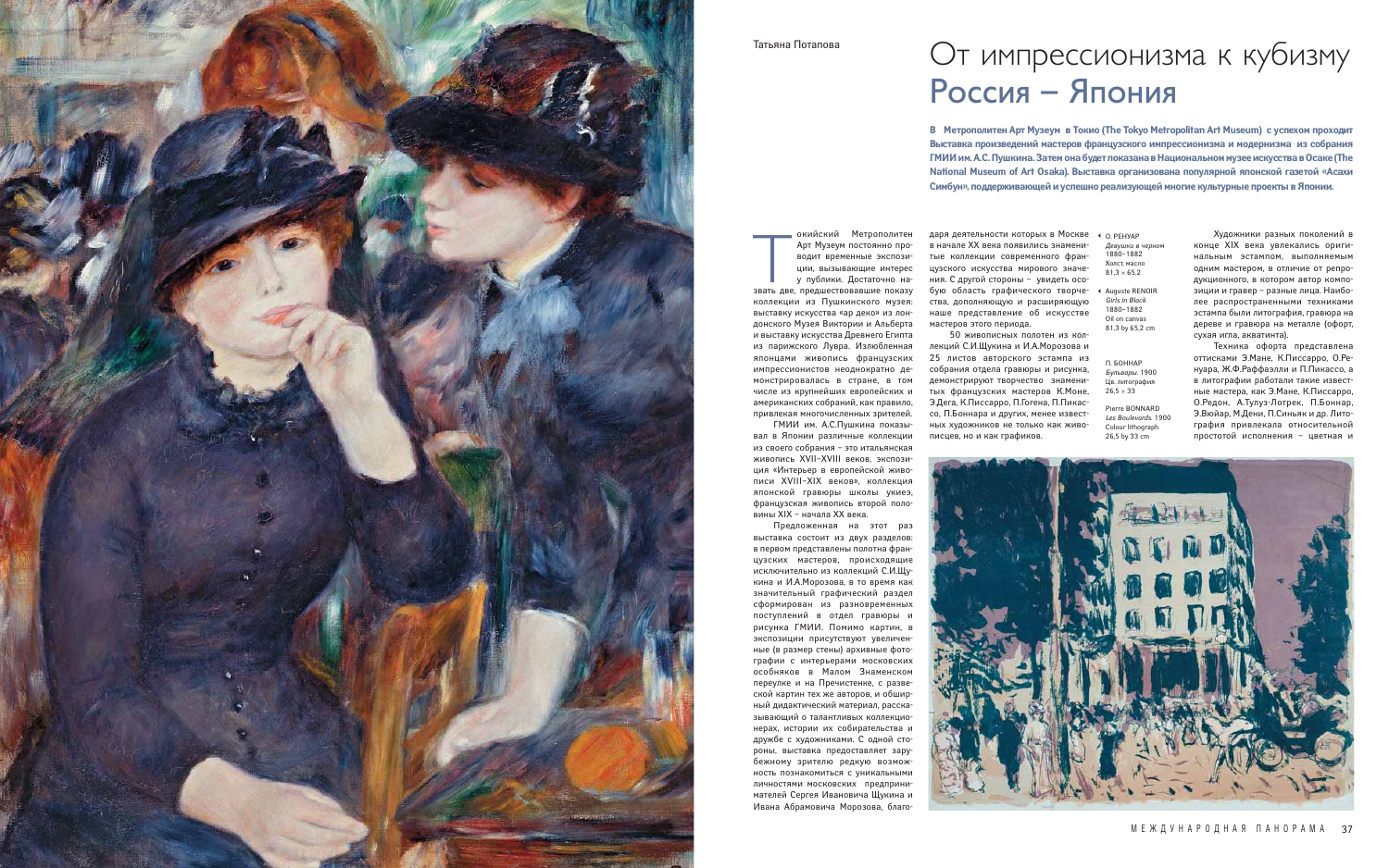окийский Метрополитен<br>Арт Музеум постоянно про-<br>водит временные экспози-<br>ции, вызывающие интерес<br>у публики. Достаточно на-<br>звать две, предшествовавшие показу окийский Метрополитен Арт Музеум постоянно проводит временные экспозиции, вызывающие интерес у публики. Достаточно на-

коллекции из Пушкинского музея: выставку искусства «ар деко» из лондонского Музея Виктории и Альберта и выставку искусства Древнего Египта из парижского Лувра. Излюбленная японцами живопись французских импрессионистов неоднократно демонстрировалась в стране, в том числе из крупнейших европейских и американских собраний, как правило, привлекая многочисленных зрителей.

ГМИИ им. А.С.Пушкина показывал в Японии различные коллекции из своего собрания – это итальянская живопись XVII–XVIII веков, экспозиция «Интерьер в европейской живописи XVIII–XIX веков», коллекция японской гравюры школы укиеэ, французская живопись второй половины XIX – начала XX века.

даря деятельности которых в Москве • о ренуар в начале XX века появились знаменитые коллекции современного французского искусства мирового значения. С другой стороны – увидеть особую область графического творчества, дополняющую и расширяющую наше представление об искусстве мастеров этого периода.

Предложенная на этот раз выставка состоит из двух разделов: в первом представлены полотна французских мастеров, происходящие исключительно из коллекций С.И.Щукина и И.А.Морозова, в то время как значительный графический раздел сформирован из разновременных поступлений в отдел гравюры и рисунка ГМИИ. Помимо картин, в экспозиции присутствуют увеличенные (в размер стены) архивные фотографии с интерьерами московских особняков в Малом Знаменском переулке и на Пречистенке, с развеской картин тех же авторов, и обширный дидактический материал, рассказывающий о талантливых коллекционерах, истории их собирательства и дружбе с художниками. С одной стороны, выставка предоставляет зарубежному зрителю редкую возможность познакомиться с уникальными личностями московских предпринимателей Сергея Ивановича Щукина и Ивана Абрамовича Морозова, благо-

- *Девушки в черном* 1880–1882 Холст, масло  $81.3 \times 65.2$
- Auguste RENOIR *Girls in Black* 1880–1882 Oil on canvas 81,3 by 65,2 cm  $\blacktriangleleft$

П. БОННАР *Бульвары*. 1900 Цв. литография  $26,5 \times 33$ 

50 живописных полотен из коллекций С.И.Щукина и И.А.Морозова и 25 листов авторского эстампа из собрания отдела гравюры и рисунка, демонстрируют творчество знаменитых французских мастеров К.Моне, Э.Дега, К.Писсарро, П.Гогена, П.Пикассо, П.Боннара и других, менее известных художников не только как живописцев, но и как графиков.

Художники разных поколений в конце XIX века увлекались оригинальным эстампом, выполняемым одним мастером, в отличие от репродукционного, в котором автор композиции и гравер – разные лица. Наиболее распространенными техниками эстампа были литография, гравюра на дереве и гравюра на металле (офорт, сухая игла, акватинта).

Техника офорта представлена оттисками Э.Мане, К.Писсарро, О.Ренуара, Ж.Ф.Раффаэлли и П.Пикассо, а в литографии работали такие известные мастера, как Э.Мане, К.Писсарро, О.Редон, А.Тулуз-Лотрек, П.Боннар, Э.Вюйар, М.Дени, П.Синьяк и др. Литография привлекала относительной простотой исполнения – цветная и



Pierre BONNARD *Les Boulevards*. 1900 Colour lithograph 26,5 by 33 сm



## Татьяна Потапова

**В Метрополитен Арт Музеум в Токио (The Tokyo Metropolitan Art Museum) c успехом проходит Выставка произведений мастеров французского импрессионизма и модернизма из собрания ГМИИ им. А.С. Пушкина. Затем она будет показана в Национальном музее искусства в Осаке (The National Museum of Art Osaka). Выставка организована популярной японской газетой «Асахи Симбун», поддерживающей и успешно реализующей многие культурные проекты в Японии.**

## От импрессионизма к кубизму Россия – Япония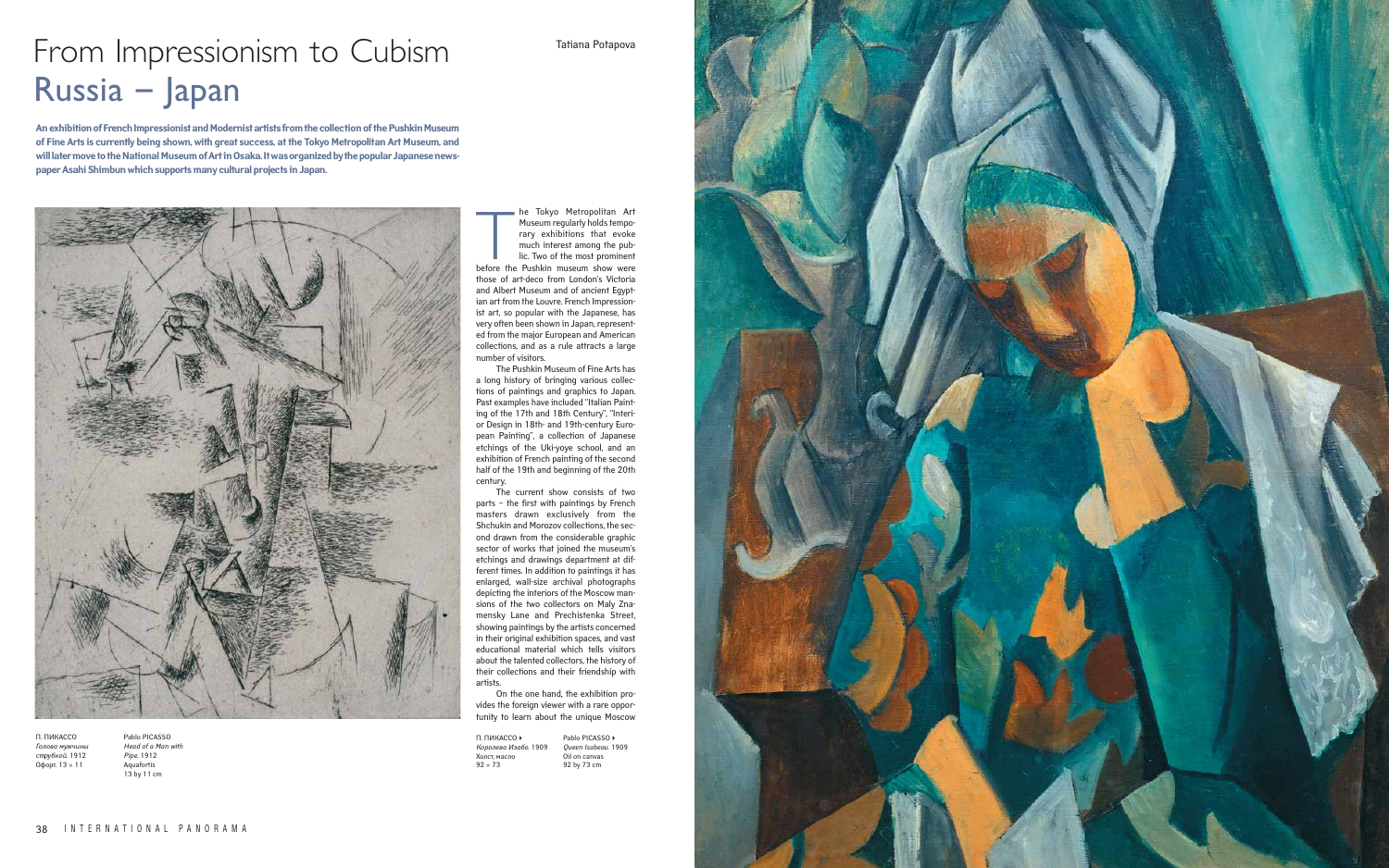The Tokyo Metropolitan Art<br>
Museum regularly holds tempo-<br>
rary exhibitions that evoke<br>
much interest among the pub-<br>
lic. Two of the most prominent<br>
before the Pushkin museum show were he Tokyo Metropolitan Art Museum regularly holds temporary exhibitions that evoke much interest among the public. Two of the most prominent those of art-deco from London's Victoria and Albert Museum and of ancient Egyptian art from the Louvre. French Impressionist art, so popular with the Japanese, has very often been shown in Japan, represented from the major European and American collections, and as a rule attracts a large number of visitors.

The Pushkin Museum of Fine Arts has a long history of bringing various collections of paintings and graphics to Japan. Past examples have included "Italian Painting of the 17th and 18th Century", "Interior Design in 18th- and 19th-century European Painting", a collection of Japanese etchings of the Uki-yoye school, and an exhibition of French painting of the second half of the 19th and beginning of the 20th century.

Pablo PICASSO *Head of a Man with Pipe*. 1912 Aquafortis 13 by 11 cm

The current show consists of two parts – the first with paintings by French masters drawn exclusively from the Shchukin and Morozov collections, the second drawn from the considerable graphic sector of works that joined the museum's etchings and drawings department at different times. In addition to paintings it has enlarged, wall-size archival photographs depicting the interiors of the Moscow mansions of the two collectors on Maly Znamensky Lane and Prechistenka Street, showing paintings by the artists concerned in their original exhibition spaces, and vast educational material which tells visitors about the talented collectors, the history of their collections and their friendship with artists.

On the one hand, the exhibition provides the foreign viewer with a rare opportunity to learn about the unique Moscow

Tatiana Potapova

П. ПИКАССО *Голова мужчины с трубкой*. 1912 Офорт. 13 × 11

| П. ПИКАССО ▶         | Pablo PICASSO ▶     |
|----------------------|---------------------|
| Королева Изабо. 1909 | Queen Isabeau. 1909 |
| Холст. масло         | Oil on canvas       |
| $92 \times 73$       | 92 by 73 cm         |



**An exhibition of French Impressionist and Modernist artists from the collection of the Pushkin Museum of Fine Arts is currently being shown, with great success, at the Tokyo Metropolitan Art Museum, and will later move to the National Museum of Art in Osaka. It was organized by the popular Japanese newspaper Asahi Shimbun which supports many cultural projects in Japan.**



## From Impressionism to Cubism Russia – Japan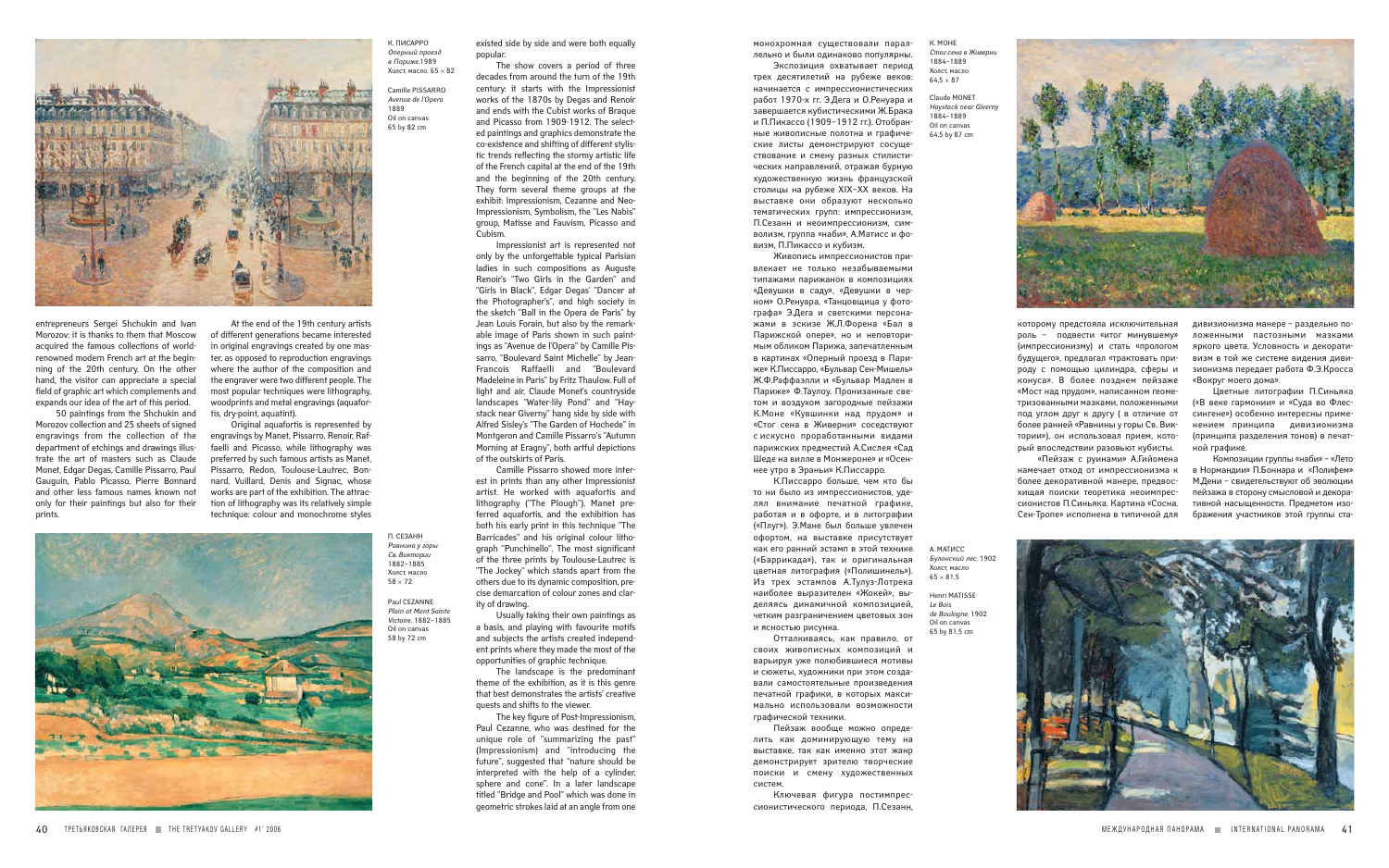entrepreneurs Sergei Shchukin and Ivan Morozov: it is thanks to them that Moscow acquired the famous collections of worldrenowned modern French art at the beginning of the 20th century. On the other hand, the visitor can appreciate a special field of graphic art which complements and expands our idea of the art of this period.

50 paintings from the Shchukin and Morozov collection and 25 sheets of signed engravings from the collection of the department of etchings and drawings illustrate the art of masters such as Claude Monet, Edgar Degas, Camille Pissarro, Paul Gauguin, Pablo Picasso, Pierre Bonnard and other less famous names known not only for their paintings but also for their prints.

At the end of the 19th century artists of different generations became interested in original engravings created by one master, as opposed to reproduction engravings where the author of the composition and the engraver were two different people. The most popular techniques were lithography, woodprints and metal engravings (aquafortis, dry-point, aquatint).

Original aquafortis is represented by engravings by Manet, Pissarro, Renoir, Raffaelli and Picasso, while lithography was preferred by such famous artists as Manet, Pissarro, Redon, Toulouse-Lautrec, Bonnard, Vuillard, Denis and Signac, whose works are part of the exhibition. The attraction of lithography was its relatively simple technique: colour and monochrome styles



которому предстояла исключительная роль – подвести «итог минувшему» (импрессионизму) и стать «прологом будущего», предлагал «трактовать природу с помощью цилиндра, сферы и конуса». В более позднем пейзаже «Мост над прудом», написанном геометризованными мазками, положенными под углом друг к другу ( в отличие от более ранней «Равнины у горы Св. Виктории»), он использовал прием, который впоследствии разовьют кубисты.

«Пейзаж с руинами» А.Гийомена намечает отход от импрессионизма к более декоративной манере, предвосхищая поиски теоретика неоимпрессионистов П.Синьяка. Картина «Сосна. Сен-Тропе» исполнена в типичной для

дивизионизма манере – раздельно положенными пастозными мазками яркого цвета. Условность и декоративизм в той же системе видения дивизионизма передает работа Ф.Э.Кросса «Вокруг моего дома».

Цветные литографии П.Синьяка («В веке гармонии» и «Суда во Флессингене») особенно интересны применением принципа дивизионизма (принципа разделения тонов) в печатной графике.

Композиции группы «наби» – «Лето в Нормандии» П.Боннара и «Полифем» М.Дени – свидетельствуют об эволюции пейзажа в сторону смысловой и декоративной насыщенности. Предметом изображения участников этой группы ста-

К. МОНЕ *Стог сена в Живерни* 1884–1889 Холст, масло  $64.5 \times 87$ 

П. СЕЗАНН *Равнина у горы Св. Виктории* 1882–1885 Холст, масло  $58 \times 72$ 

монохромная существовали параллельно и были одинаково популярны.

> А. МАТИСС *Булонский лес*. 1902 Холст, масло  $65 \times 81,5$

Экспозиция охватывает период трех десятилетий на рубеже веков: начинается с импрессионистических работ 1970-х гг. Э.Дега и О.Ренуара и завершается кубистическими Ж.Брака и П.Пикассо (1909–1912 гг.). Отобранные живописные полотна и графические листы демонстрируют сосуществование и смену разных стилистических направлений, отражая бурную художественную жизнь французской столицы на рубеже XIX–XX веков. На выставке они образуют несколько тематических групп: импрессионизм, П.Сезанн и неоимпрессионизм, символизм, группа «наби», А.Матисс и фовизм, П.Пикассо и кубизм.

Живопись импрессионистов привлекает не только незабываемыми типажами парижанок в композициях «Девушки в саду», «Девушки в черном» О.Ренуара, «Танцовщица у фотографа» Э.Дега и светскими персонажами в эскизе Ж.Л.Форена «Бал в Парижской опере», но и неповторимым обликом Парижа, запечатленным в картинах «Оперный проезд в Париже» К.Писсарро, «Бульвар Сен-Мишель» Ж.Ф.Раффаэлли и «Бульвар Мадлен в Париже» Ф.Таулоу. Пронизанные светом и воздухом загородные пейзажи К.Моне «Кувшинки над прудом» и «Стог сена в Живерни» соседствуют с искусно проработанными видами парижских предместий А.Сислея «Сад Шеде на вилле в Монжероне» и «Осеннее утро в Эраньи» К.Писсарро.

К.Писсарро больше, чем кто бы то ни было из импрессионистов, уделял внимание печатной графике, работая и в офорте, и в литографии («Плуг»). Э.Мане был больше увлечен офортом, на выставке присутствует как его ранний эстамп в этой технике («Баррикада»), так и оригинальная цветная литография («Полишинель»). Из трех эстампов А.Тулуз-Лотрека наиболее выразителен «Жокей», выделяясь динамичной композицией, четким разграничением цветовых зон и ясностью рисунка.

Отталкиваясь, как правило, от своих живописных композиций и варьируя уже полюбившиеся мотивы и сюжеты, художники при этом создавали самостоятельные произведения печатной графики, в которых максимально использовали возможности графической техники.

Пейзаж вообще можно определить как доминирующую тему на выставке, так как именно этот жанр демонстрирует зрителю творческие поиски и смену художественных систем.

Ключевая фигура постимпрессионистического периода, П.Сезанн,



Claude MONET *Haystack near Giverny* 1884–1889 Oil on canvas 64,5 by 87 cm



Paul CEZANNE *Plain at Mont Sainte Victoire*. 1882–1885 Oil on canvas 58 by 72 cm

Henri MATISSE *Le Bois de Boulogne*. 1902 Oil on canvas 65 by 81,5 cm



existed side by side and were both equally popular.

The show covers a period of three decades from around the turn of the 19th century: it starts with the Impressionist works of the 1870s by Degas and Renoir and ends with the Cubist works of Braque and Picasso from 1909-1912. The selected paintings and graphics demonstrate the co-existence and shifting of different stylistic trends reflecting the stormy artistic life of the French capital at the end of the 19th and the beginning of the 20th century. They form several theme groups at the exhibit: Impressionism, Cezanne and Neo-Impressionism, Symbolism, the "Les Nabis" group, Matisse and Fauvism, Picasso and Cubism.

Impressionist art is represented not only by the unforgettable typical Parisian ladies in such compositions as Auguste Renoir's "Two Girls in the Garden" and "Girls in Black", Edgar Degas' "Dancer at the Photographer's", and high society in the sketch "Ball in the Opera de Paris" by Jean Louis Forain, but also by the remarkable image of Paris shown in such paintings as "Avenue de l'Opera" by Camille Pissarro, "Boulevard Saint Michelle" by Jean-Francois Raffaelli and "Boulevard Madeleine in Paris" by Fritz Thaulow. Full of light and air, Claude Monet's countryside landscapes "Water-lily Pond" and "Haystack near Giverny" hang side by side with Alfred Sisley's "The Garden of Hochede" in Montgeron and Camille Pissarro's "Autumn Morning at Eragny", both artful depictions of the outskirts of Paris.

Camille Pissarro showed more interest in prints than any other Impressionist artist. He worked with aquafortis and lithography ("The Plough"). Manet preferred aquafortis, and the exhibition has both his early print in this technique "The Barricades" and his original colour lithograph "Punchinello". The most significant of the three prints by Toulouse-Lautrec is "The Jockey" which stands apart from the others due to its dynamic composition, precise demarcation of colour zones and clarity of drawing.

Usually taking their own paintings as a basis, and playing with favourite motifs and subjects the artists created independent prints where they made the most of the opportunities of graphic technique.

The landscape is the predominant theme of the exhibition, as it is this genre that best demonstrates the artists' creative quests and shifts to the viewer.

The key figure of Post-Impressionism, Paul Cezanne, who was destined for the unique role of "summarizing the past" (Impressionism) and "introducing the future", suggested that "nature should be interpreted with the help of a cylinder, sphere and cone". In a later landscape titled "Bridge and Pool" which was done in geometric strokes laid at an angle from one